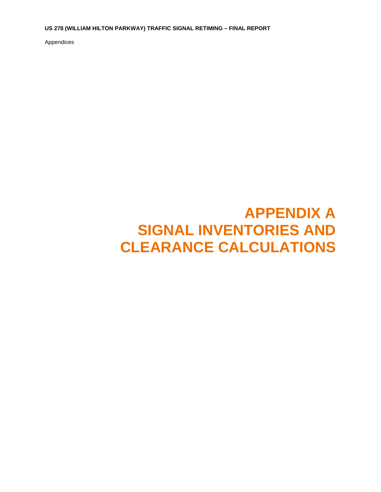**US 278 (WILLIAM HILTON PARKWAY) TRAFFIC SIGNAL RETIMING – FINAL REPORT** 

Appendices

## **APPENDIX A SIGNAL INVENTORIES AND CLEARANCE CALCULATIONS**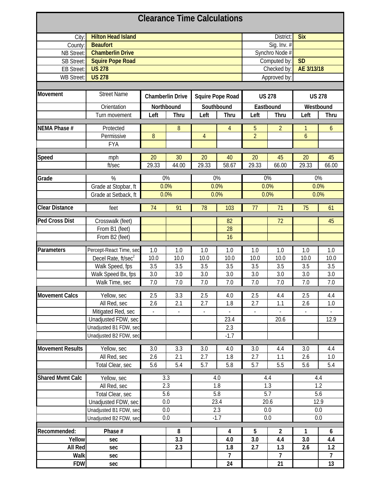| <b>Clearance Time Calculations</b> |                                 |                |                         |                |                         |                           |                |               |                |  |  |
|------------------------------------|---------------------------------|----------------|-------------------------|----------------|-------------------------|---------------------------|----------------|---------------|----------------|--|--|
| City:                              | <b>Hilton Head Island</b>       |                |                         | District:      | <b>Six</b>              |                           |                |               |                |  |  |
| County:                            | <b>Beaufort</b>                 |                |                         | Sig. Inv. #    |                         |                           |                |               |                |  |  |
| <b>NB Street:</b>                  | <b>Chamberlin Drive</b>         |                |                         |                |                         |                           | Synchro Node # |               |                |  |  |
| <b>SB Street:</b>                  | <b>Squire Pope Road</b>         |                |                         |                |                         | <b>SD</b><br>Computed by: |                |               |                |  |  |
| <b>EB Street:</b>                  | <b>US 278</b>                   |                |                         |                |                         |                           | Checked by:    | AE 3/13/18    |                |  |  |
| <b>WB Street:</b>                  | <b>US 278</b>                   |                |                         |                |                         |                           | Approved by:   |               |                |  |  |
|                                    |                                 |                |                         |                |                         |                           |                |               |                |  |  |
| <b>Movement</b>                    | <b>Street Name</b>              |                | <b>Chamberlin Drive</b> |                | <b>Squire Pope Road</b> | <b>US 278</b>             |                | <b>US 278</b> |                |  |  |
|                                    | Orientation                     |                | Northbound              |                | Southbound              |                           | Eastbound      |               | Westbound      |  |  |
|                                    | Turn movement                   | Left           | <b>Thru</b>             | Left           | Thru                    | Left                      | Thru           | Left          | Thru           |  |  |
|                                    |                                 |                |                         |                |                         |                           |                |               |                |  |  |
| NEMA Phase #                       | Protected                       |                | 8                       |                | 4                       | 5                         | $\overline{2}$ | 1             | 6              |  |  |
|                                    | Permissive                      | 8              |                         | $\overline{4}$ |                         | $\overline{2}$            |                | 6             |                |  |  |
|                                    | <b>FYA</b>                      |                |                         |                |                         |                           |                |               |                |  |  |
| Speed                              | mph                             | 20             | 30                      | 20             | 40                      | 20                        | 45             | 20            | 45             |  |  |
|                                    | ft/sec                          | 29.33          | 44.00                   | 29.33          | 58.67                   | 29.33                     | 66.00          | 29.33         | 66.00          |  |  |
|                                    |                                 |                |                         |                |                         |                           |                |               |                |  |  |
| Grade                              | $\%$                            |                | 0%                      |                | 0%                      |                           | 0%             |               | 0%             |  |  |
|                                    | Grade at Stopbar, ft            |                | 0.0%                    |                | 0.0%                    |                           | 0.0%           |               | 0.0%           |  |  |
|                                    | Grade at Setback, ft            | 0.0%           |                         |                | 0.0%                    |                           | 0.0%           |               | 0.0%           |  |  |
|                                    |                                 |                |                         |                |                         |                           |                |               |                |  |  |
| <b>Clear Distance</b>              | feet                            | 74             | 91                      | 78             | 103                     | 77                        | 71             | 75            | 61             |  |  |
| <b>Ped Cross Dist</b>              | Crosswalk (feet)                |                |                         |                | 82                      |                           | 72             |               | 45             |  |  |
|                                    | From B1 (feet)                  |                |                         |                | 28                      |                           |                |               |                |  |  |
|                                    | From B2 (feet)                  |                |                         |                | 16                      |                           |                |               |                |  |  |
|                                    |                                 |                |                         |                |                         |                           |                |               |                |  |  |
| Parameters                         | Percept-React Time, sec         | 1.0            | 1.0                     | 1.0            | 1.0                     | 1.0                       | 1.0            | 1.0           | 1.0            |  |  |
|                                    | Decel Rate, ft/sec <sup>2</sup> | 10.0           | 10.0                    | 10.0           | 10.0                    | 10.0                      | 10.0           | 10.0          | 10.0           |  |  |
|                                    | Walk Speed, fps                 | 3.5            | 3.5                     | 3.5            | 3.5                     | 3.5                       | 3.5            | 3.5           | 3.5            |  |  |
|                                    | Walk Speed Bx, fps              | 3.0            | 3.0                     | 3.0            | 3.0                     | 3.0                       | 3.0            | 3.0           | 3.0            |  |  |
|                                    | Walk Time, sec                  | 7.0            | 7.0                     | 7.0            | 7.0                     | 7.0                       | 7.0            | 7.0           | 7.0            |  |  |
| <b>Movement Calcs</b>              |                                 |                |                         |                | 4.0                     |                           |                |               |                |  |  |
|                                    | Yellow, sec                     | 2.5            | 3.3                     | 2.5            |                         | 2.5                       | 4.4            | 2.5           | 4.4            |  |  |
|                                    | All Red, sec                    | 2.6            | 2.1                     | 2.7            | 1.8                     | 2.7                       | 1.1            | 2.6           | 1.0            |  |  |
|                                    | Mitigated Red, sec              | $\blacksquare$ | $\Box$                  | $\blacksquare$ |                         | $\overline{\phantom{a}}$  |                |               |                |  |  |
|                                    | Unadjusted FDW, sec             |                |                         |                | 23.4                    |                           | 20.6           |               | 12.9           |  |  |
|                                    | Unadjusted B1 FDW, sec          |                |                         |                | 2.3                     |                           |                |               |                |  |  |
|                                    | Unadjusted B2 FDW, sec          |                |                         |                | $-1.7$                  |                           |                |               |                |  |  |
| <b>Movement Results</b>            | Yellow, sec                     | 3.0            | 3.3                     | 3.0            | 4.0                     | 3.0                       | 4.4            | 3.0           | 4.4            |  |  |
|                                    | All Red, sec                    | 2.6            | 2.1                     | 2.7            | 1.8                     | 2.7                       | 1.1            | 2.6           | 1.0            |  |  |
|                                    | Total Clear, sec                | 5.6            | 5.4                     | 5.7            | 5.8                     | 5.7                       | 5.5            | 5.6           | 5.4            |  |  |
|                                    |                                 |                |                         |                |                         |                           |                |               |                |  |  |
| <b>Shared Mvmt Calc</b>            | Yellow, sec                     |                | 3.3                     |                | 4.0                     |                           | 4.4            |               | 4.4            |  |  |
|                                    | All Red, sec                    |                | 2.3                     |                | 1.8                     |                           | 1.3            |               | 1.2            |  |  |
|                                    | Total Clear, sec                |                | $\overline{5.6}$        |                | 5.8                     |                           | 5.7            |               | 5.6            |  |  |
|                                    | Unadjusted FDW, sec             |                | 0.0                     |                | 23.4                    |                           | 20.6           |               | 12.9           |  |  |
|                                    | Unadjusted B1 FDW, sec          |                | 0.0                     |                | 2.3                     |                           | 0.0            |               | 0.0            |  |  |
|                                    | Unadjusted B2 FDW, sec          |                | 0.0                     |                | $-1.7$                  |                           | 0.0            |               | 0.0            |  |  |
| Recommended:                       | Phase #                         |                | 8                       |                | 4                       | 5                         | $\overline{2}$ | 1             | 6              |  |  |
| Yellow                             | sec                             |                | 3.3                     |                | 4.0                     | 3.0                       | 4.4            | 3.0           | 4.4            |  |  |
| All Red                            | sec                             |                | 2.3                     |                | 1.8                     | 2.7                       | 1.3            | 2.6           | 1.2            |  |  |
| Walk                               | sec                             |                |                         |                | $\overline{7}$          |                           | $\overline{7}$ |               | $\overline{7}$ |  |  |
| <b>FDW</b>                         | sec                             |                |                         |                | 24                      |                           | 21             |               | 13             |  |  |
|                                    |                                 |                |                         |                |                         |                           |                |               |                |  |  |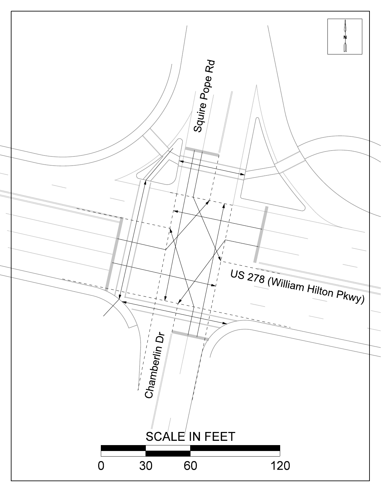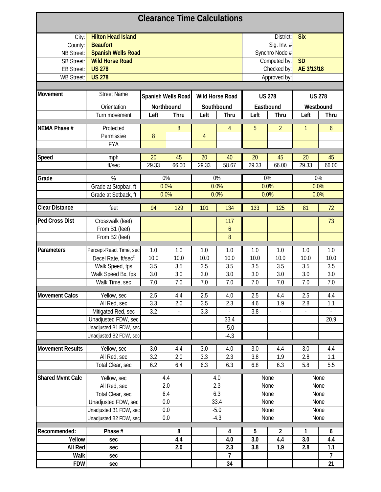| <b>Hilton Head Island</b><br>District:<br><b>Six</b><br>City:<br>Sig. Inv. #<br><b>Beaufort</b><br>County:<br>Synchro Node #<br><b>Spanish Wells Road</b><br>NB Street:<br><b>Wild Horse Road</b><br><b>SD</b><br><b>SB Street:</b><br>Computed by:<br>AE 3/13/18<br><b>US 278</b><br>Checked by:<br><b>EB Street:</b><br><b>US 278</b><br>Approved by:<br><b>WB Street:</b><br><b>Street Name</b><br>Spanish Wells Road<br><b>Wild Horse Road</b><br><b>US 278</b><br><b>US 278</b><br>Orientation<br>Northbound<br>Southbound<br>Eastbound<br>Westbound<br>Thru<br>Left<br>Left<br>Thru<br>Left<br>Thru<br>Left<br>Turn movement<br><b>Thru</b><br>NEMA Phase #<br>$\boldsymbol{8}$<br>5<br>$\overline{2}$<br>4<br>Protected<br>1<br>6<br>$\boldsymbol{8}$<br>$\overline{4}$<br>Permissive<br><b>FYA</b><br>20<br>45<br>20<br>40<br>20<br>20<br>45<br>Speed<br>45<br>mph<br>ft/sec<br>29.33<br>66.00<br>29.33<br>58.67<br>29.33<br>29.33<br>66.00<br>66.00<br>0%<br>0%<br>0%<br>0%<br>%<br>0.0%<br>0.0%<br>0.0%<br>0.0%<br>Grade at Stopbar, ft<br>0.0%<br>0.0%<br>0.0%<br>0.0%<br>Grade at Setback, ft<br>129<br>134<br>133<br>125<br>72<br>feet<br>94<br>101<br>81<br><b>Ped Cross Dist</b><br>Crosswalk (feet)<br>117<br>73<br>From B1 (feet)<br>6<br>8<br>From B2 (feet)<br>Parameters<br>Percept-React Time, sec<br>1.0<br>1.0<br>1.0<br>1.0<br>1.0<br>1.0<br>1.0<br>1.0<br>10.0<br>10.0<br>10.0<br>10.0<br>10.0<br>Decel Rate, ft/sec <sup>2</sup><br>10.0<br>10.0<br>10.0<br>Walk Speed, fps<br>3.5<br>3.5<br>3.5<br>3.5<br>3.5<br>3.5<br>3.5<br>3.5<br>3.0<br>Walk Speed Bx, fps<br>3.0<br>3.0<br>3.0<br>3.0<br>3.0<br>3.0<br>3.0<br>7.0<br>7.0<br>7.0<br>7.0<br>7.0<br>7.0<br>7.0<br>7.0<br>Walk Time, sec<br>4.4<br><b>Movement Calcs</b><br>Yellow, sec<br>2.5<br>4.4<br>2.5<br>4.0<br>2.5<br>2.5<br>4.4<br>1.9<br>All Red, sec<br>3.3<br>2.0<br>3.5<br>2.3<br>2.8<br>4.6<br>1.1<br>Mitigated Red, sec<br>3.2<br>3.3<br>3.8<br>$\overline{\phantom{a}}$<br>33.4<br>20.9<br>Unadjusted FDW, sec<br>Unadjusted B1 FDW, sec<br>$-5.0$<br>Unadjusted B2 FDW, sec<br>$-4.3$<br>3.0<br>Yellow, sec<br>3.0<br>4.4<br>3.0<br>4.0<br>3.0<br>4.4<br>4.4<br>3.2<br>2.3<br>3.8<br>2.8<br>All Red, sec<br>2.0<br>3.3<br>1.9<br>1.1<br>5.8<br>5.5<br>Total Clear, sec<br>6.2<br>6.3<br>6.3<br>6.8<br>6.3<br>6.4<br>4.4<br>4.0<br><b>Shared Mvmt Calc</b><br>Yellow, sec<br>None<br>None<br>2.0<br>2.3<br>None<br>None<br>All Red, sec<br>6.4<br>6.3<br><b>None</b><br>Total Clear, sec<br>None<br>33.4<br>0.0<br>None<br>None<br>Unadjusted FDW, sec<br>$-5.0$<br>0.0<br>None<br>Unadjusted B1 FDW, sec<br>None<br>0.0<br>$-4.3$<br>Unadjusted B2 FDW, sec<br>None<br>None<br>Phase #<br>8<br>5<br>$\overline{2}$<br>1<br>4<br>6<br>4.4<br>3.0<br>4.4<br>3.0<br>Yellow<br>4.0<br>4.4<br>sec<br>All Red<br>1.1<br>2.0<br>2.3<br>3.8<br>1.9<br>2.8<br>sec<br>$\overline{7}$<br>Walk<br>$\overline{7}$<br>sec<br><b>FDW</b> | <b>Clearance Time Calculations</b> |     |  |  |  |    |  |  |  |    |  |  |
|-------------------------------------------------------------------------------------------------------------------------------------------------------------------------------------------------------------------------------------------------------------------------------------------------------------------------------------------------------------------------------------------------------------------------------------------------------------------------------------------------------------------------------------------------------------------------------------------------------------------------------------------------------------------------------------------------------------------------------------------------------------------------------------------------------------------------------------------------------------------------------------------------------------------------------------------------------------------------------------------------------------------------------------------------------------------------------------------------------------------------------------------------------------------------------------------------------------------------------------------------------------------------------------------------------------------------------------------------------------------------------------------------------------------------------------------------------------------------------------------------------------------------------------------------------------------------------------------------------------------------------------------------------------------------------------------------------------------------------------------------------------------------------------------------------------------------------------------------------------------------------------------------------------------------------------------------------------------------------------------------------------------------------------------------------------------------------------------------------------------------------------------------------------------------------------------------------------------------------------------------------------------------------------------------------------------------------------------------------------------------------------------------------------------------------------------------------------------------------------------------------------------------------------------------------------------------------------------------------------------------------------------------------------------------------------------------------------------------------------------------------------------------------------------------------------------------------------------------------------------------------------------------------------------------|------------------------------------|-----|--|--|--|----|--|--|--|----|--|--|
|                                                                                                                                                                                                                                                                                                                                                                                                                                                                                                                                                                                                                                                                                                                                                                                                                                                                                                                                                                                                                                                                                                                                                                                                                                                                                                                                                                                                                                                                                                                                                                                                                                                                                                                                                                                                                                                                                                                                                                                                                                                                                                                                                                                                                                                                                                                                                                                                                                                                                                                                                                                                                                                                                                                                                                                                                                                                                                                         |                                    |     |  |  |  |    |  |  |  |    |  |  |
|                                                                                                                                                                                                                                                                                                                                                                                                                                                                                                                                                                                                                                                                                                                                                                                                                                                                                                                                                                                                                                                                                                                                                                                                                                                                                                                                                                                                                                                                                                                                                                                                                                                                                                                                                                                                                                                                                                                                                                                                                                                                                                                                                                                                                                                                                                                                                                                                                                                                                                                                                                                                                                                                                                                                                                                                                                                                                                                         |                                    |     |  |  |  |    |  |  |  |    |  |  |
|                                                                                                                                                                                                                                                                                                                                                                                                                                                                                                                                                                                                                                                                                                                                                                                                                                                                                                                                                                                                                                                                                                                                                                                                                                                                                                                                                                                                                                                                                                                                                                                                                                                                                                                                                                                                                                                                                                                                                                                                                                                                                                                                                                                                                                                                                                                                                                                                                                                                                                                                                                                                                                                                                                                                                                                                                                                                                                                         |                                    |     |  |  |  |    |  |  |  |    |  |  |
|                                                                                                                                                                                                                                                                                                                                                                                                                                                                                                                                                                                                                                                                                                                                                                                                                                                                                                                                                                                                                                                                                                                                                                                                                                                                                                                                                                                                                                                                                                                                                                                                                                                                                                                                                                                                                                                                                                                                                                                                                                                                                                                                                                                                                                                                                                                                                                                                                                                                                                                                                                                                                                                                                                                                                                                                                                                                                                                         |                                    |     |  |  |  |    |  |  |  |    |  |  |
|                                                                                                                                                                                                                                                                                                                                                                                                                                                                                                                                                                                                                                                                                                                                                                                                                                                                                                                                                                                                                                                                                                                                                                                                                                                                                                                                                                                                                                                                                                                                                                                                                                                                                                                                                                                                                                                                                                                                                                                                                                                                                                                                                                                                                                                                                                                                                                                                                                                                                                                                                                                                                                                                                                                                                                                                                                                                                                                         |                                    |     |  |  |  |    |  |  |  |    |  |  |
|                                                                                                                                                                                                                                                                                                                                                                                                                                                                                                                                                                                                                                                                                                                                                                                                                                                                                                                                                                                                                                                                                                                                                                                                                                                                                                                                                                                                                                                                                                                                                                                                                                                                                                                                                                                                                                                                                                                                                                                                                                                                                                                                                                                                                                                                                                                                                                                                                                                                                                                                                                                                                                                                                                                                                                                                                                                                                                                         |                                    |     |  |  |  |    |  |  |  |    |  |  |
|                                                                                                                                                                                                                                                                                                                                                                                                                                                                                                                                                                                                                                                                                                                                                                                                                                                                                                                                                                                                                                                                                                                                                                                                                                                                                                                                                                                                                                                                                                                                                                                                                                                                                                                                                                                                                                                                                                                                                                                                                                                                                                                                                                                                                                                                                                                                                                                                                                                                                                                                                                                                                                                                                                                                                                                                                                                                                                                         |                                    |     |  |  |  |    |  |  |  |    |  |  |
|                                                                                                                                                                                                                                                                                                                                                                                                                                                                                                                                                                                                                                                                                                                                                                                                                                                                                                                                                                                                                                                                                                                                                                                                                                                                                                                                                                                                                                                                                                                                                                                                                                                                                                                                                                                                                                                                                                                                                                                                                                                                                                                                                                                                                                                                                                                                                                                                                                                                                                                                                                                                                                                                                                                                                                                                                                                                                                                         | Movement                           |     |  |  |  |    |  |  |  |    |  |  |
|                                                                                                                                                                                                                                                                                                                                                                                                                                                                                                                                                                                                                                                                                                                                                                                                                                                                                                                                                                                                                                                                                                                                                                                                                                                                                                                                                                                                                                                                                                                                                                                                                                                                                                                                                                                                                                                                                                                                                                                                                                                                                                                                                                                                                                                                                                                                                                                                                                                                                                                                                                                                                                                                                                                                                                                                                                                                                                                         |                                    |     |  |  |  |    |  |  |  |    |  |  |
|                                                                                                                                                                                                                                                                                                                                                                                                                                                                                                                                                                                                                                                                                                                                                                                                                                                                                                                                                                                                                                                                                                                                                                                                                                                                                                                                                                                                                                                                                                                                                                                                                                                                                                                                                                                                                                                                                                                                                                                                                                                                                                                                                                                                                                                                                                                                                                                                                                                                                                                                                                                                                                                                                                                                                                                                                                                                                                                         |                                    |     |  |  |  |    |  |  |  |    |  |  |
|                                                                                                                                                                                                                                                                                                                                                                                                                                                                                                                                                                                                                                                                                                                                                                                                                                                                                                                                                                                                                                                                                                                                                                                                                                                                                                                                                                                                                                                                                                                                                                                                                                                                                                                                                                                                                                                                                                                                                                                                                                                                                                                                                                                                                                                                                                                                                                                                                                                                                                                                                                                                                                                                                                                                                                                                                                                                                                                         |                                    |     |  |  |  |    |  |  |  |    |  |  |
|                                                                                                                                                                                                                                                                                                                                                                                                                                                                                                                                                                                                                                                                                                                                                                                                                                                                                                                                                                                                                                                                                                                                                                                                                                                                                                                                                                                                                                                                                                                                                                                                                                                                                                                                                                                                                                                                                                                                                                                                                                                                                                                                                                                                                                                                                                                                                                                                                                                                                                                                                                                                                                                                                                                                                                                                                                                                                                                         |                                    |     |  |  |  |    |  |  |  |    |  |  |
|                                                                                                                                                                                                                                                                                                                                                                                                                                                                                                                                                                                                                                                                                                                                                                                                                                                                                                                                                                                                                                                                                                                                                                                                                                                                                                                                                                                                                                                                                                                                                                                                                                                                                                                                                                                                                                                                                                                                                                                                                                                                                                                                                                                                                                                                                                                                                                                                                                                                                                                                                                                                                                                                                                                                                                                                                                                                                                                         |                                    |     |  |  |  |    |  |  |  |    |  |  |
|                                                                                                                                                                                                                                                                                                                                                                                                                                                                                                                                                                                                                                                                                                                                                                                                                                                                                                                                                                                                                                                                                                                                                                                                                                                                                                                                                                                                                                                                                                                                                                                                                                                                                                                                                                                                                                                                                                                                                                                                                                                                                                                                                                                                                                                                                                                                                                                                                                                                                                                                                                                                                                                                                                                                                                                                                                                                                                                         |                                    |     |  |  |  |    |  |  |  |    |  |  |
|                                                                                                                                                                                                                                                                                                                                                                                                                                                                                                                                                                                                                                                                                                                                                                                                                                                                                                                                                                                                                                                                                                                                                                                                                                                                                                                                                                                                                                                                                                                                                                                                                                                                                                                                                                                                                                                                                                                                                                                                                                                                                                                                                                                                                                                                                                                                                                                                                                                                                                                                                                                                                                                                                                                                                                                                                                                                                                                         |                                    |     |  |  |  |    |  |  |  |    |  |  |
|                                                                                                                                                                                                                                                                                                                                                                                                                                                                                                                                                                                                                                                                                                                                                                                                                                                                                                                                                                                                                                                                                                                                                                                                                                                                                                                                                                                                                                                                                                                                                                                                                                                                                                                                                                                                                                                                                                                                                                                                                                                                                                                                                                                                                                                                                                                                                                                                                                                                                                                                                                                                                                                                                                                                                                                                                                                                                                                         |                                    |     |  |  |  |    |  |  |  |    |  |  |
|                                                                                                                                                                                                                                                                                                                                                                                                                                                                                                                                                                                                                                                                                                                                                                                                                                                                                                                                                                                                                                                                                                                                                                                                                                                                                                                                                                                                                                                                                                                                                                                                                                                                                                                                                                                                                                                                                                                                                                                                                                                                                                                                                                                                                                                                                                                                                                                                                                                                                                                                                                                                                                                                                                                                                                                                                                                                                                                         |                                    |     |  |  |  |    |  |  |  |    |  |  |
|                                                                                                                                                                                                                                                                                                                                                                                                                                                                                                                                                                                                                                                                                                                                                                                                                                                                                                                                                                                                                                                                                                                                                                                                                                                                                                                                                                                                                                                                                                                                                                                                                                                                                                                                                                                                                                                                                                                                                                                                                                                                                                                                                                                                                                                                                                                                                                                                                                                                                                                                                                                                                                                                                                                                                                                                                                                                                                                         | Grade                              |     |  |  |  |    |  |  |  |    |  |  |
|                                                                                                                                                                                                                                                                                                                                                                                                                                                                                                                                                                                                                                                                                                                                                                                                                                                                                                                                                                                                                                                                                                                                                                                                                                                                                                                                                                                                                                                                                                                                                                                                                                                                                                                                                                                                                                                                                                                                                                                                                                                                                                                                                                                                                                                                                                                                                                                                                                                                                                                                                                                                                                                                                                                                                                                                                                                                                                                         |                                    |     |  |  |  |    |  |  |  |    |  |  |
|                                                                                                                                                                                                                                                                                                                                                                                                                                                                                                                                                                                                                                                                                                                                                                                                                                                                                                                                                                                                                                                                                                                                                                                                                                                                                                                                                                                                                                                                                                                                                                                                                                                                                                                                                                                                                                                                                                                                                                                                                                                                                                                                                                                                                                                                                                                                                                                                                                                                                                                                                                                                                                                                                                                                                                                                                                                                                                                         |                                    |     |  |  |  |    |  |  |  |    |  |  |
|                                                                                                                                                                                                                                                                                                                                                                                                                                                                                                                                                                                                                                                                                                                                                                                                                                                                                                                                                                                                                                                                                                                                                                                                                                                                                                                                                                                                                                                                                                                                                                                                                                                                                                                                                                                                                                                                                                                                                                                                                                                                                                                                                                                                                                                                                                                                                                                                                                                                                                                                                                                                                                                                                                                                                                                                                                                                                                                         | <b>Clear Distance</b>              |     |  |  |  |    |  |  |  |    |  |  |
|                                                                                                                                                                                                                                                                                                                                                                                                                                                                                                                                                                                                                                                                                                                                                                                                                                                                                                                                                                                                                                                                                                                                                                                                                                                                                                                                                                                                                                                                                                                                                                                                                                                                                                                                                                                                                                                                                                                                                                                                                                                                                                                                                                                                                                                                                                                                                                                                                                                                                                                                                                                                                                                                                                                                                                                                                                                                                                                         |                                    |     |  |  |  |    |  |  |  |    |  |  |
|                                                                                                                                                                                                                                                                                                                                                                                                                                                                                                                                                                                                                                                                                                                                                                                                                                                                                                                                                                                                                                                                                                                                                                                                                                                                                                                                                                                                                                                                                                                                                                                                                                                                                                                                                                                                                                                                                                                                                                                                                                                                                                                                                                                                                                                                                                                                                                                                                                                                                                                                                                                                                                                                                                                                                                                                                                                                                                                         |                                    |     |  |  |  |    |  |  |  |    |  |  |
|                                                                                                                                                                                                                                                                                                                                                                                                                                                                                                                                                                                                                                                                                                                                                                                                                                                                                                                                                                                                                                                                                                                                                                                                                                                                                                                                                                                                                                                                                                                                                                                                                                                                                                                                                                                                                                                                                                                                                                                                                                                                                                                                                                                                                                                                                                                                                                                                                                                                                                                                                                                                                                                                                                                                                                                                                                                                                                                         |                                    |     |  |  |  |    |  |  |  |    |  |  |
|                                                                                                                                                                                                                                                                                                                                                                                                                                                                                                                                                                                                                                                                                                                                                                                                                                                                                                                                                                                                                                                                                                                                                                                                                                                                                                                                                                                                                                                                                                                                                                                                                                                                                                                                                                                                                                                                                                                                                                                                                                                                                                                                                                                                                                                                                                                                                                                                                                                                                                                                                                                                                                                                                                                                                                                                                                                                                                                         |                                    |     |  |  |  |    |  |  |  |    |  |  |
|                                                                                                                                                                                                                                                                                                                                                                                                                                                                                                                                                                                                                                                                                                                                                                                                                                                                                                                                                                                                                                                                                                                                                                                                                                                                                                                                                                                                                                                                                                                                                                                                                                                                                                                                                                                                                                                                                                                                                                                                                                                                                                                                                                                                                                                                                                                                                                                                                                                                                                                                                                                                                                                                                                                                                                                                                                                                                                                         |                                    |     |  |  |  |    |  |  |  |    |  |  |
|                                                                                                                                                                                                                                                                                                                                                                                                                                                                                                                                                                                                                                                                                                                                                                                                                                                                                                                                                                                                                                                                                                                                                                                                                                                                                                                                                                                                                                                                                                                                                                                                                                                                                                                                                                                                                                                                                                                                                                                                                                                                                                                                                                                                                                                                                                                                                                                                                                                                                                                                                                                                                                                                                                                                                                                                                                                                                                                         |                                    |     |  |  |  |    |  |  |  |    |  |  |
|                                                                                                                                                                                                                                                                                                                                                                                                                                                                                                                                                                                                                                                                                                                                                                                                                                                                                                                                                                                                                                                                                                                                                                                                                                                                                                                                                                                                                                                                                                                                                                                                                                                                                                                                                                                                                                                                                                                                                                                                                                                                                                                                                                                                                                                                                                                                                                                                                                                                                                                                                                                                                                                                                                                                                                                                                                                                                                                         |                                    |     |  |  |  |    |  |  |  |    |  |  |
|                                                                                                                                                                                                                                                                                                                                                                                                                                                                                                                                                                                                                                                                                                                                                                                                                                                                                                                                                                                                                                                                                                                                                                                                                                                                                                                                                                                                                                                                                                                                                                                                                                                                                                                                                                                                                                                                                                                                                                                                                                                                                                                                                                                                                                                                                                                                                                                                                                                                                                                                                                                                                                                                                                                                                                                                                                                                                                                         |                                    |     |  |  |  |    |  |  |  |    |  |  |
|                                                                                                                                                                                                                                                                                                                                                                                                                                                                                                                                                                                                                                                                                                                                                                                                                                                                                                                                                                                                                                                                                                                                                                                                                                                                                                                                                                                                                                                                                                                                                                                                                                                                                                                                                                                                                                                                                                                                                                                                                                                                                                                                                                                                                                                                                                                                                                                                                                                                                                                                                                                                                                                                                                                                                                                                                                                                                                                         |                                    |     |  |  |  |    |  |  |  |    |  |  |
|                                                                                                                                                                                                                                                                                                                                                                                                                                                                                                                                                                                                                                                                                                                                                                                                                                                                                                                                                                                                                                                                                                                                                                                                                                                                                                                                                                                                                                                                                                                                                                                                                                                                                                                                                                                                                                                                                                                                                                                                                                                                                                                                                                                                                                                                                                                                                                                                                                                                                                                                                                                                                                                                                                                                                                                                                                                                                                                         |                                    |     |  |  |  |    |  |  |  |    |  |  |
|                                                                                                                                                                                                                                                                                                                                                                                                                                                                                                                                                                                                                                                                                                                                                                                                                                                                                                                                                                                                                                                                                                                                                                                                                                                                                                                                                                                                                                                                                                                                                                                                                                                                                                                                                                                                                                                                                                                                                                                                                                                                                                                                                                                                                                                                                                                                                                                                                                                                                                                                                                                                                                                                                                                                                                                                                                                                                                                         |                                    |     |  |  |  |    |  |  |  |    |  |  |
|                                                                                                                                                                                                                                                                                                                                                                                                                                                                                                                                                                                                                                                                                                                                                                                                                                                                                                                                                                                                                                                                                                                                                                                                                                                                                                                                                                                                                                                                                                                                                                                                                                                                                                                                                                                                                                                                                                                                                                                                                                                                                                                                                                                                                                                                                                                                                                                                                                                                                                                                                                                                                                                                                                                                                                                                                                                                                                                         |                                    |     |  |  |  |    |  |  |  |    |  |  |
|                                                                                                                                                                                                                                                                                                                                                                                                                                                                                                                                                                                                                                                                                                                                                                                                                                                                                                                                                                                                                                                                                                                                                                                                                                                                                                                                                                                                                                                                                                                                                                                                                                                                                                                                                                                                                                                                                                                                                                                                                                                                                                                                                                                                                                                                                                                                                                                                                                                                                                                                                                                                                                                                                                                                                                                                                                                                                                                         |                                    |     |  |  |  |    |  |  |  |    |  |  |
|                                                                                                                                                                                                                                                                                                                                                                                                                                                                                                                                                                                                                                                                                                                                                                                                                                                                                                                                                                                                                                                                                                                                                                                                                                                                                                                                                                                                                                                                                                                                                                                                                                                                                                                                                                                                                                                                                                                                                                                                                                                                                                                                                                                                                                                                                                                                                                                                                                                                                                                                                                                                                                                                                                                                                                                                                                                                                                                         |                                    |     |  |  |  |    |  |  |  |    |  |  |
|                                                                                                                                                                                                                                                                                                                                                                                                                                                                                                                                                                                                                                                                                                                                                                                                                                                                                                                                                                                                                                                                                                                                                                                                                                                                                                                                                                                                                                                                                                                                                                                                                                                                                                                                                                                                                                                                                                                                                                                                                                                                                                                                                                                                                                                                                                                                                                                                                                                                                                                                                                                                                                                                                                                                                                                                                                                                                                                         |                                    |     |  |  |  |    |  |  |  |    |  |  |
|                                                                                                                                                                                                                                                                                                                                                                                                                                                                                                                                                                                                                                                                                                                                                                                                                                                                                                                                                                                                                                                                                                                                                                                                                                                                                                                                                                                                                                                                                                                                                                                                                                                                                                                                                                                                                                                                                                                                                                                                                                                                                                                                                                                                                                                                                                                                                                                                                                                                                                                                                                                                                                                                                                                                                                                                                                                                                                                         |                                    |     |  |  |  |    |  |  |  |    |  |  |
|                                                                                                                                                                                                                                                                                                                                                                                                                                                                                                                                                                                                                                                                                                                                                                                                                                                                                                                                                                                                                                                                                                                                                                                                                                                                                                                                                                                                                                                                                                                                                                                                                                                                                                                                                                                                                                                                                                                                                                                                                                                                                                                                                                                                                                                                                                                                                                                                                                                                                                                                                                                                                                                                                                                                                                                                                                                                                                                         | <b>Movement Results</b>            |     |  |  |  |    |  |  |  |    |  |  |
|                                                                                                                                                                                                                                                                                                                                                                                                                                                                                                                                                                                                                                                                                                                                                                                                                                                                                                                                                                                                                                                                                                                                                                                                                                                                                                                                                                                                                                                                                                                                                                                                                                                                                                                                                                                                                                                                                                                                                                                                                                                                                                                                                                                                                                                                                                                                                                                                                                                                                                                                                                                                                                                                                                                                                                                                                                                                                                                         |                                    |     |  |  |  |    |  |  |  |    |  |  |
|                                                                                                                                                                                                                                                                                                                                                                                                                                                                                                                                                                                                                                                                                                                                                                                                                                                                                                                                                                                                                                                                                                                                                                                                                                                                                                                                                                                                                                                                                                                                                                                                                                                                                                                                                                                                                                                                                                                                                                                                                                                                                                                                                                                                                                                                                                                                                                                                                                                                                                                                                                                                                                                                                                                                                                                                                                                                                                                         |                                    |     |  |  |  |    |  |  |  |    |  |  |
|                                                                                                                                                                                                                                                                                                                                                                                                                                                                                                                                                                                                                                                                                                                                                                                                                                                                                                                                                                                                                                                                                                                                                                                                                                                                                                                                                                                                                                                                                                                                                                                                                                                                                                                                                                                                                                                                                                                                                                                                                                                                                                                                                                                                                                                                                                                                                                                                                                                                                                                                                                                                                                                                                                                                                                                                                                                                                                                         |                                    |     |  |  |  |    |  |  |  |    |  |  |
|                                                                                                                                                                                                                                                                                                                                                                                                                                                                                                                                                                                                                                                                                                                                                                                                                                                                                                                                                                                                                                                                                                                                                                                                                                                                                                                                                                                                                                                                                                                                                                                                                                                                                                                                                                                                                                                                                                                                                                                                                                                                                                                                                                                                                                                                                                                                                                                                                                                                                                                                                                                                                                                                                                                                                                                                                                                                                                                         |                                    |     |  |  |  |    |  |  |  |    |  |  |
|                                                                                                                                                                                                                                                                                                                                                                                                                                                                                                                                                                                                                                                                                                                                                                                                                                                                                                                                                                                                                                                                                                                                                                                                                                                                                                                                                                                                                                                                                                                                                                                                                                                                                                                                                                                                                                                                                                                                                                                                                                                                                                                                                                                                                                                                                                                                                                                                                                                                                                                                                                                                                                                                                                                                                                                                                                                                                                                         |                                    |     |  |  |  |    |  |  |  |    |  |  |
|                                                                                                                                                                                                                                                                                                                                                                                                                                                                                                                                                                                                                                                                                                                                                                                                                                                                                                                                                                                                                                                                                                                                                                                                                                                                                                                                                                                                                                                                                                                                                                                                                                                                                                                                                                                                                                                                                                                                                                                                                                                                                                                                                                                                                                                                                                                                                                                                                                                                                                                                                                                                                                                                                                                                                                                                                                                                                                                         |                                    |     |  |  |  |    |  |  |  |    |  |  |
|                                                                                                                                                                                                                                                                                                                                                                                                                                                                                                                                                                                                                                                                                                                                                                                                                                                                                                                                                                                                                                                                                                                                                                                                                                                                                                                                                                                                                                                                                                                                                                                                                                                                                                                                                                                                                                                                                                                                                                                                                                                                                                                                                                                                                                                                                                                                                                                                                                                                                                                                                                                                                                                                                                                                                                                                                                                                                                                         |                                    |     |  |  |  |    |  |  |  |    |  |  |
|                                                                                                                                                                                                                                                                                                                                                                                                                                                                                                                                                                                                                                                                                                                                                                                                                                                                                                                                                                                                                                                                                                                                                                                                                                                                                                                                                                                                                                                                                                                                                                                                                                                                                                                                                                                                                                                                                                                                                                                                                                                                                                                                                                                                                                                                                                                                                                                                                                                                                                                                                                                                                                                                                                                                                                                                                                                                                                                         |                                    |     |  |  |  |    |  |  |  |    |  |  |
|                                                                                                                                                                                                                                                                                                                                                                                                                                                                                                                                                                                                                                                                                                                                                                                                                                                                                                                                                                                                                                                                                                                                                                                                                                                                                                                                                                                                                                                                                                                                                                                                                                                                                                                                                                                                                                                                                                                                                                                                                                                                                                                                                                                                                                                                                                                                                                                                                                                                                                                                                                                                                                                                                                                                                                                                                                                                                                                         |                                    |     |  |  |  |    |  |  |  |    |  |  |
|                                                                                                                                                                                                                                                                                                                                                                                                                                                                                                                                                                                                                                                                                                                                                                                                                                                                                                                                                                                                                                                                                                                                                                                                                                                                                                                                                                                                                                                                                                                                                                                                                                                                                                                                                                                                                                                                                                                                                                                                                                                                                                                                                                                                                                                                                                                                                                                                                                                                                                                                                                                                                                                                                                                                                                                                                                                                                                                         | Recommended:                       |     |  |  |  |    |  |  |  |    |  |  |
|                                                                                                                                                                                                                                                                                                                                                                                                                                                                                                                                                                                                                                                                                                                                                                                                                                                                                                                                                                                                                                                                                                                                                                                                                                                                                                                                                                                                                                                                                                                                                                                                                                                                                                                                                                                                                                                                                                                                                                                                                                                                                                                                                                                                                                                                                                                                                                                                                                                                                                                                                                                                                                                                                                                                                                                                                                                                                                                         |                                    |     |  |  |  |    |  |  |  |    |  |  |
|                                                                                                                                                                                                                                                                                                                                                                                                                                                                                                                                                                                                                                                                                                                                                                                                                                                                                                                                                                                                                                                                                                                                                                                                                                                                                                                                                                                                                                                                                                                                                                                                                                                                                                                                                                                                                                                                                                                                                                                                                                                                                                                                                                                                                                                                                                                                                                                                                                                                                                                                                                                                                                                                                                                                                                                                                                                                                                                         |                                    |     |  |  |  |    |  |  |  |    |  |  |
|                                                                                                                                                                                                                                                                                                                                                                                                                                                                                                                                                                                                                                                                                                                                                                                                                                                                                                                                                                                                                                                                                                                                                                                                                                                                                                                                                                                                                                                                                                                                                                                                                                                                                                                                                                                                                                                                                                                                                                                                                                                                                                                                                                                                                                                                                                                                                                                                                                                                                                                                                                                                                                                                                                                                                                                                                                                                                                                         |                                    |     |  |  |  |    |  |  |  |    |  |  |
|                                                                                                                                                                                                                                                                                                                                                                                                                                                                                                                                                                                                                                                                                                                                                                                                                                                                                                                                                                                                                                                                                                                                                                                                                                                                                                                                                                                                                                                                                                                                                                                                                                                                                                                                                                                                                                                                                                                                                                                                                                                                                                                                                                                                                                                                                                                                                                                                                                                                                                                                                                                                                                                                                                                                                                                                                                                                                                                         |                                    | sec |  |  |  | 34 |  |  |  | 21 |  |  |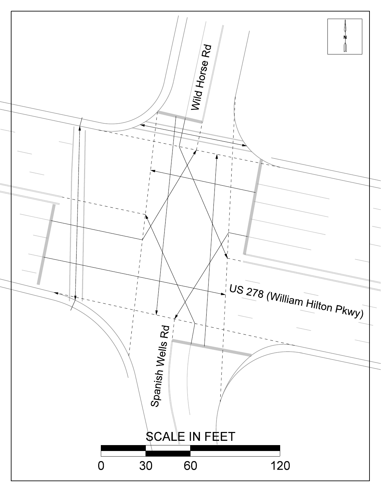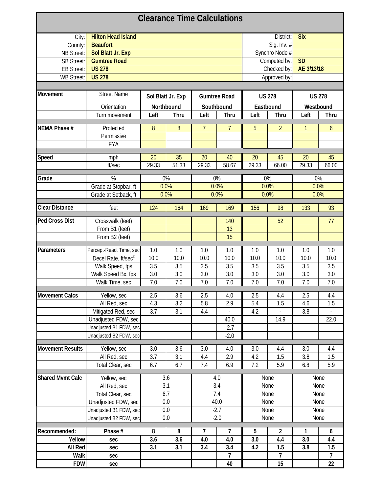|                         |                                 |            |                   |                | <b>Clearance Time Calculations</b> |                           |                |              |                |  |
|-------------------------|---------------------------------|------------|-------------------|----------------|------------------------------------|---------------------------|----------------|--------------|----------------|--|
| City:                   | <b>Hilton Head Island</b>       |            |                   |                |                                    |                           | District:      | <b>Six</b>   |                |  |
| County:                 | <b>Beaufort</b>                 |            |                   | Sig. Inv. #    |                                    |                           |                |              |                |  |
| <b>NB Street:</b>       | Sol Blatt Jr. Exp               |            |                   |                |                                    | Synchro Node #            |                |              |                |  |
| <b>SB Street:</b>       | <b>Gumtree Road</b>             |            |                   |                |                                    | <b>SD</b><br>Computed by: |                |              |                |  |
| <b>EB Street:</b>       | <b>US 278</b>                   |            |                   |                |                                    |                           | Checked by:    | AE 3/13/18   |                |  |
| WB Street:              | <b>US 278</b>                   |            |                   |                |                                    |                           | Approved by:   |              |                |  |
|                         |                                 |            |                   |                |                                    |                           |                |              |                |  |
| Movement                | <b>Street Name</b>              |            | Sol Blatt Jr. Exp |                | <b>Gumtree Road</b>                |                           | <b>US 278</b>  |              | <b>US 278</b>  |  |
|                         |                                 |            |                   |                |                                    |                           |                |              |                |  |
|                         | Orientation                     | Northbound |                   |                | Southbound                         |                           | Eastbound      | Westbound    |                |  |
|                         | Turn movement                   | Left       | Thru              | Left           | Thru                               | Left                      | Thru           | Left         | Thru           |  |
| NEMA Phase #            | Protected                       | 8          | 8                 | $\overline{7}$ | $\overline{7}$                     | 5                         | $\overline{2}$ | $\mathbf{1}$ | $\overline{6}$ |  |
|                         | Permissive                      |            |                   |                |                                    |                           |                |              |                |  |
|                         | <b>FYA</b>                      |            |                   |                |                                    |                           |                |              |                |  |
|                         |                                 |            |                   |                |                                    |                           |                |              |                |  |
| Speed                   | mph                             | 20         | 35                | 20             | 40                                 | 20                        | 45             | 20           | 45             |  |
|                         | ft/sec                          | 29.33      | 51.33             | 29.33          | 58.67                              | 29.33                     | 66.00          | 29.33        | 66.00          |  |
| Grade                   | %                               | $0\%$      |                   |                | $0\%$                              |                           | $0\%$          | $0\%$        |                |  |
|                         | Grade at Stopbar, ft            | 0.0%       |                   |                | 0.0%                               |                           | 0.0%           |              | 0.0%           |  |
|                         | Grade at Setback, ft            | 0.0%       |                   |                | 0.0%                               |                           | 0.0%           |              | 0.0%           |  |
|                         |                                 |            |                   |                |                                    |                           |                |              |                |  |
| <b>Clear Distance</b>   | feet                            | 124        | 164               | 169            | 169                                | 156                       | 98             | 133          | 93             |  |
| <b>Ped Cross Dist</b>   | Crosswalk (feet)                |            |                   |                | 140                                |                           | 52             |              | 77             |  |
|                         | From B1 (feet)                  |            |                   |                | 13                                 |                           |                |              |                |  |
|                         | From B2 (feet)                  |            |                   |                | 15                                 |                           |                |              |                |  |
|                         |                                 | 1.0        |                   | 1.0            | 1.0                                | 1.0                       | 1.0            | 1.0          | 1.0            |  |
| Parameters              | Percept-React Time, sec         | 10.0       | 1.0<br>10.0       | 10.0           | 10.0                               | 10.0                      | 10.0           | 10.0         | 10.0           |  |
|                         | Decel Rate, ft/sec <sup>2</sup> | 3.5        | 3.5               | 3.5            | 3.5                                | 3.5                       | 3.5            | 3.5          | 3.5            |  |
|                         | Walk Speed, fps                 |            |                   |                |                                    |                           |                |              |                |  |
|                         | Walk Speed Bx, fps              | 3.0        | 3.0               | 3.0            | 3.0                                | 3.0                       | 3.0            | 3.0          | 3.0            |  |
|                         | Walk Time, sec                  | 7.0        | 7.0               | 7.0            | 7.0                                | 7.0                       | 7.0            | 7.0          | 7.0            |  |
| <b>Movement Calcs</b>   | Yellow, sec                     | 2.5        | 3.6               | 2.5            | 4.0                                | 2.5                       | 4.4            | 2.5          | 4.4            |  |
|                         | All Red, sec                    | 4.3        | 3.2               | 5.8            | 2.9                                | 5.4                       | 1.5            | 4.6          | 1.5            |  |
|                         | Mitigated Red, sec              | 3.7        | 3.1               | 4.4            |                                    | 4.2                       |                | 3.8          |                |  |
|                         | Unadjusted FDW, sec             |            |                   |                | 40.0                               |                           | 14.9           |              | 22.0           |  |
|                         | Unadjusted B1 FDW, sec          |            |                   |                | $-2.7$                             |                           |                |              |                |  |
|                         | Unadjusted B2 FDW, sec          |            |                   |                | $-2.0$                             |                           |                |              |                |  |
|                         |                                 |            |                   |                |                                    |                           |                |              |                |  |
| <b>Movement Results</b> | Yellow, sec                     | 3.0        | 3.6               | 3.0            | 4.0                                | 3.0                       | 4.4            | 3.0          | 4.4            |  |
|                         | All Red, sec                    | 3.7        | 3.1               | 4.4            | 2.9                                | 4.2                       | 1.5            | 3.8          | 1.5            |  |
|                         | Total Clear, sec                | 6.7        | 6.7               | 7.4            | 6.9                                | 7.2                       | 5.9            | 6.8          | 5.9            |  |
| <b>Shared Mvmt Calc</b> | Yellow, sec                     |            | 3.6               |                | 4.0                                |                           | None           |              | None           |  |
|                         | All Red, sec                    |            | 3.1               |                | 3.4                                |                           | None           |              | None           |  |
|                         | Total Clear, sec                |            | 6.7               |                | 7.4                                |                           | None           |              | None           |  |
|                         | Unadjusted FDW, sec             |            | 0.0               |                | 40.0                               |                           | None           |              | None           |  |
|                         | Unadjusted B1 FDW, sec          |            | 0.0               |                | $-2.7$                             |                           | None           |              | None           |  |
|                         | Unadjusted B2 FDW, sec          | $0.0\,$    |                   |                | $-2.0$                             |                           | None           |              | None           |  |
| Recommended:            | Phase #                         | 8          | 8                 | 7              | 7                                  | 5                         | $\overline{2}$ | 1            | 6              |  |
| Yellow                  | sec                             | 3.6        | 3.6               | 4.0            | 4.0                                | 3.0                       | 4.4            | 3.0          | 4.4            |  |
| All Red                 | sec                             | 3.1        | 3.1               | 3.4            | 3.4                                | 4.2                       | 1.5            | 3.8          | 1.5            |  |
| Walk                    | sec                             |            |                   |                | $\overline{7}$                     |                           | $\overline{7}$ |              | $\overline{7}$ |  |
| <b>FDW</b>              |                                 |            |                   |                | 40                                 |                           | 15             |              | 22             |  |
|                         | sec                             |            |                   |                |                                    |                           |                |              |                |  |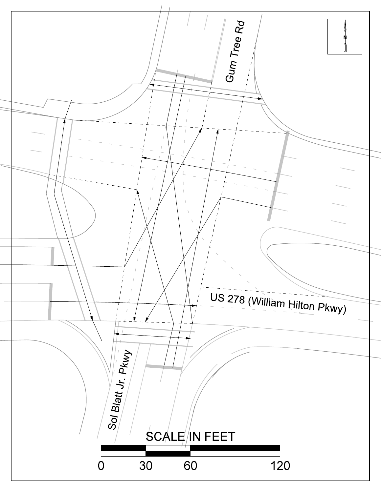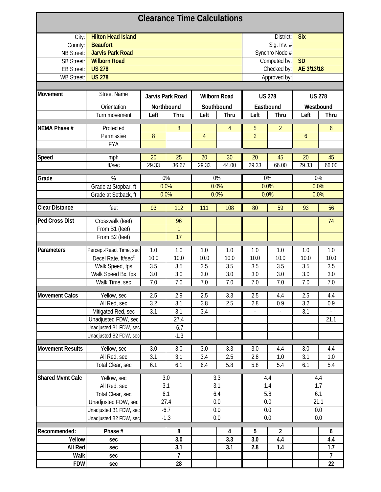| <b>Clearance Time Calculations</b> |                                 |            |                  |                |                     |                           |                |               |                |  |  |
|------------------------------------|---------------------------------|------------|------------------|----------------|---------------------|---------------------------|----------------|---------------|----------------|--|--|
| City:                              | <b>Hilton Head Island</b>       |            |                  |                |                     |                           | District:      | <b>Six</b>    |                |  |  |
| County:                            | <b>Beaufort</b>                 |            |                  |                |                     |                           | Sig. Inv. #    |               |                |  |  |
| NB Street:                         | <b>Jarvis Park Road</b>         |            |                  |                |                     | Synchro Node #            |                |               |                |  |  |
| <b>SB Street:</b>                  | <b>Wilborn Road</b>             |            |                  |                |                     | <b>SD</b><br>Computed by: |                |               |                |  |  |
| <b>EB Street:</b>                  | <b>US 278</b>                   |            |                  |                |                     |                           | Checked by:    | AE 3/13/18    |                |  |  |
| <b>WB Street:</b>                  | <b>US 278</b>                   |            |                  |                |                     |                           | Approved by:   |               |                |  |  |
|                                    |                                 |            |                  |                |                     |                           |                |               |                |  |  |
| Movement                           | <b>Street Name</b>              |            | Jarvis Park Road |                | <b>Wilborn Road</b> | <b>US 278</b>             |                | <b>US 278</b> |                |  |  |
|                                    | Orientation                     | Northbound |                  |                | Southbound          |                           | Eastbound      | Westbound     |                |  |  |
|                                    | Turn movement                   | Left       | Thru             | Left           | Thru                | Left                      | Thru           | Left          | Thru           |  |  |
|                                    |                                 |            |                  |                |                     |                           |                |               |                |  |  |
| NEMA Phase #                       | Protected                       |            | 8                |                | 4                   | 5                         | $\overline{2}$ |               | 6              |  |  |
|                                    | Permissive                      | $8\,$      |                  | $\overline{4}$ |                     | $\overline{2}$            |                | $\mathfrak b$ |                |  |  |
|                                    | <b>FYA</b>                      |            |                  |                |                     |                           |                |               |                |  |  |
| Speed                              | mph                             | 20         | 25               | 20             | 30                  | 20                        | 45             | 20            | 45             |  |  |
|                                    | ft/sec                          | 29.33      | 36.67            | 29.33          | 44.00               | 29.33                     | 66.00          | 29.33         | 66.00          |  |  |
|                                    |                                 |            |                  |                |                     |                           |                |               |                |  |  |
| Grade                              | %                               |            | 0%               |                | 0%                  |                           | 0%             |               | 0%             |  |  |
|                                    | Grade at Stopbar, ft            | 0.0%       |                  |                | 0.0%                |                           | 0.0%           |               | 0.0%           |  |  |
|                                    | Grade at Setback, ft            | 0.0%       |                  |                | 0.0%                |                           | 0.0%           |               | 0.0%           |  |  |
|                                    |                                 |            |                  |                |                     |                           |                |               |                |  |  |
| <b>Clear Distance</b>              | feet                            | 93         | 112              | 111            | 108                 | 80                        | 59             | 93            | 56             |  |  |
| <b>Ped Cross Dist</b>              | Crosswalk (feet)                |            | 96               |                |                     |                           |                |               | 74             |  |  |
|                                    | From B1 (feet)                  |            | $\mathbf{1}$     |                |                     |                           |                |               |                |  |  |
|                                    | From B2 (feet)                  |            | 17               |                |                     |                           |                |               |                |  |  |
|                                    |                                 |            |                  |                |                     |                           |                |               |                |  |  |
| Parameters                         | Percept-React Time, sec         | 1.0        | 1.0              | 1.0            | 1.0                 | 1.0                       | 1.0            | 1.0           | 1.0            |  |  |
|                                    | Decel Rate, ft/sec <sup>2</sup> | 10.0       | 10.0             | 10.0           | 10.0                | 10.0                      | 10.0           | 10.0          | 10.0           |  |  |
|                                    | Walk Speed, fps                 | 3.5        | 3.5              | 3.5            | 3.5                 | 3.5                       | 3.5            | 3.5           | 3.5            |  |  |
|                                    | Walk Speed Bx, fps              | 3.0        | 3.0              | 3.0            | 3.0                 | 3.0                       | 3.0            | 3.0           | 3.0            |  |  |
|                                    | Walk Time, sec                  | 7.0        | 7.0              | 7.0            | 7.0                 | 7.0                       | 7.0            | 7.0           | 7.0            |  |  |
|                                    |                                 |            |                  |                |                     |                           |                |               |                |  |  |
| <b>Movement Calcs</b>              | Yellow, sec                     | 2.5        | 2.9              | 2.5            | 3.3                 | 2.5                       | 4.4            | 2.5           | 4.4            |  |  |
|                                    | All Red, sec                    | 3.2        | 3.1              | 3.8            | 2.5                 | 2.8                       | 0.9            | 3.2           | 0.9            |  |  |
|                                    | Mitigated Red, sec              | 3.1        | 3.1              | 3.4            | $\Box$              | ÷.                        | ÷,             | 3.1           |                |  |  |
|                                    | Unadjusted FDW, sec             |            | 27.4             |                |                     |                           |                |               | 21.1           |  |  |
|                                    | Unadjusted B1 FDW, sec          |            | $-6.7$           |                |                     |                           |                |               |                |  |  |
|                                    | Unadjusted B2 FDW, sec          |            | $-1.3$           |                |                     |                           |                |               |                |  |  |
| <b>Movement Results</b>            | Yellow, sec                     | 3.0        | 3.0              | 3.0            | 3.3                 | 3.0                       | 4.4            | 3.0           | 4.4            |  |  |
|                                    | All Red, sec                    | 3.1        | 3.1              | 3.4            | 2.5                 | 2.8                       | 1.0            | 3.1           | 1.0            |  |  |
|                                    | Total Clear, sec                | 6.1        | 6.1              | 6.4            | 5.8                 | 5.8                       | 5.4            | 6.1           | 5.4            |  |  |
|                                    |                                 |            |                  |                |                     |                           |                |               |                |  |  |
| <b>Shared Mvmt Calc</b>            | Yellow, sec                     |            | 3.0              |                | 3.3                 |                           | 4.4            |               | 4.4            |  |  |
|                                    | All Red, sec                    |            | 3.1              |                | 3.1                 |                           | 1.4            |               | 1.7            |  |  |
|                                    | Total Clear, sec                |            | 6.1              |                | 6.4                 |                           | 5.8            | 6.1           |                |  |  |
|                                    | Unadjusted FDW, sec             |            | 27.4             |                | 0.0                 |                           | 0.0            |               | 21.1           |  |  |
|                                    | Unadjusted B1 FDW, sec          |            | $-6.7$           |                | 0.0                 |                           | 0.0            |               | 0.0            |  |  |
|                                    | Unadjusted B2 FDW, sec          |            | $-1.3$           |                | 0.0                 |                           | 0.0            |               | 0.0            |  |  |
| Recommended:                       | Phase #                         |            | 8                |                | 4                   | 5                         | $\overline{2}$ |               | 6              |  |  |
| Yellow                             | sec                             |            | 3.0              |                | 3.3                 | 3.0                       | 4.4            |               | 4.4            |  |  |
| All Red                            | sec                             |            | 3.1              |                | 3.1                 | 2.8                       | 1.4            |               | 1.7            |  |  |
| Walk                               | sec                             |            | 7                |                |                     |                           |                |               | $\overline{7}$ |  |  |
|                                    |                                 |            |                  |                |                     |                           |                |               |                |  |  |
| <b>FDW</b>                         | sec                             |            | 28               |                |                     |                           |                |               | 22             |  |  |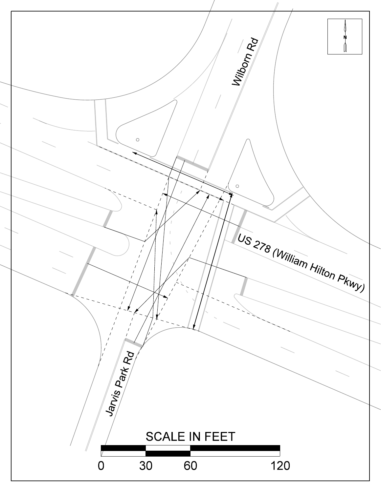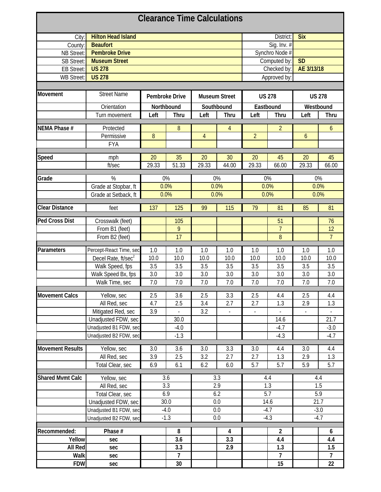|                         |                                 |       |                |                | <b>Clearance Time Calculations</b> |                           |                |                          |                |  |
|-------------------------|---------------------------------|-------|----------------|----------------|------------------------------------|---------------------------|----------------|--------------------------|----------------|--|
| City:                   | <b>Hilton Head Island</b>       |       |                |                |                                    |                           | District:      | <b>Six</b>               |                |  |
| County:                 | <b>Beaufort</b>                 |       |                |                |                                    |                           | Sig. Inv. #    |                          |                |  |
| NB Street:              | <b>Pembroke Drive</b>           |       |                |                |                                    | Synchro Node #            |                |                          |                |  |
| <b>SB Street:</b>       | <b>Museum Street</b>            |       |                |                |                                    | <b>SD</b><br>Computed by: |                |                          |                |  |
| <b>EB Street:</b>       | <b>US 278</b>                   |       |                |                |                                    |                           | Checked by:    | AE 3/13/18               |                |  |
| <b>WB Street:</b>       | <b>US 278</b>                   |       |                |                |                                    |                           | Approved by:   |                          |                |  |
|                         |                                 |       |                |                |                                    |                           |                |                          |                |  |
| Movement                | <b>Street Name</b>              |       | Pembroke Drive |                | <b>Museum Street</b>               |                           | <b>US 278</b>  | <b>US 278</b>            |                |  |
|                         | Orientation                     |       | Northbound     |                | Southbound                         |                           | Eastbound      | Westbound                |                |  |
|                         | Turn movement                   | Left  | <b>Thru</b>    | Left           | Thru                               | Left                      | Thru           | Left                     | <b>Thru</b>    |  |
|                         |                                 |       |                |                |                                    |                           |                |                          |                |  |
| NEMA Phase #            | Protected                       |       | 8              |                | $\overline{4}$                     |                           | $\overline{2}$ |                          | 6              |  |
|                         | Permissive                      | 8     |                | $\overline{4}$ |                                    | $\overline{2}$            |                | 6                        |                |  |
|                         | <b>FYA</b>                      |       |                |                |                                    |                           |                |                          |                |  |
|                         |                                 |       |                |                |                                    |                           |                |                          |                |  |
| <b>Speed</b>            | mph                             | 20    | 35             | 20             | 30                                 | 20                        | 45             | 20                       | 45             |  |
|                         | ft/sec                          | 29.33 | 51.33          | 29.33          | 44.00                              | 29.33                     | 66.00          | 29.33                    | 66.00          |  |
| Grade                   | $\%$                            |       | 0%             |                | 0%                                 |                           | 0%             |                          | $0\%$          |  |
|                         | Grade at Stopbar, ft            |       | 0.0%           |                | 0.0%                               |                           | 0.0%           |                          | 0.0%           |  |
|                         | Grade at Setback, ft            |       | 0.0%           |                | 0.0%                               |                           | 0.0%           |                          | 0.0%           |  |
|                         |                                 |       |                |                |                                    |                           |                |                          |                |  |
| <b>Clear Distance</b>   | feet                            | 137   | 125            | 99             | 115                                | 79                        | 81             | 85                       | 81             |  |
| <b>Ped Cross Dist</b>   | Crosswalk (feet)                |       | 105            |                |                                    |                           | 51             |                          | 76             |  |
|                         | From B1 (feet)                  |       | 9              |                |                                    |                           | $\overline{7}$ |                          | 12             |  |
|                         | From B2 (feet)                  |       | 17             |                |                                    |                           | 8              |                          | $\overline{7}$ |  |
|                         |                                 |       |                |                |                                    |                           |                |                          |                |  |
| Parameters              | Percept-React Time, sec         | 1.0   | 1.0            | 1.0            | 1.0                                | 1.0                       | 1.0            | 1.0                      | 1.0            |  |
|                         | Decel Rate, ft/sec <sup>2</sup> | 10.0  | 10.0           | 10.0           | 10.0                               | 10.0                      | 10.0           | 10.0                     | 10.0           |  |
|                         | Walk Speed, fps                 | 3.5   | 3.5            | 3.5            | 3.5                                | 3.5                       | 3.5            | 3.5                      | 3.5            |  |
|                         | Walk Speed Bx, fps              | 3.0   | 3.0            | 3.0            | 3.0                                | 3.0                       | 3.0            | 3.0                      | 3.0            |  |
|                         | Walk Time, sec                  | 7.0   | 7.0            | 7.0            | 7.0                                | 7.0                       | 7.0            | 7.0                      | 7.0            |  |
| <b>Movement Calcs</b>   | Yellow, sec                     | 2.5   | 3.6            | 2.5            | 3.3                                | 2.5                       | 4.4            | 2.5                      | 4.4            |  |
|                         | All Red, sec                    | 4.7   | 2.5            | 3.4            | 2.7                                | 2.7                       | 1.3            | 2.9                      | 1.3            |  |
|                         | Mitigated Red, sec              | 3.9   |                | 3.2            | $\blacksquare$                     | $\overline{\phantom{a}}$  |                | $\overline{\phantom{a}}$ |                |  |
|                         | Unadjusted FDW, sec             |       | 30.0           |                |                                    |                           | 14.6           |                          | 21.7           |  |
|                         | Unadjusted B1 FDW, sec          |       | $-4.0$         |                |                                    |                           | $-4.7$         |                          | $-3.0$         |  |
|                         | Unadjusted B2 FDW, sec          |       | $-1.3$         |                |                                    |                           | $-4.3$         |                          | $-4.7$         |  |
|                         |                                 |       |                |                |                                    |                           |                |                          |                |  |
| <b>Movement Results</b> | Yellow, sec                     | 3.0   | 3.6            | 3.0            | 3.3                                | 3.0                       | 4.4            | 3.0                      | 4.4            |  |
|                         | All Red, sec                    | 3.9   | 2.5            | 3.2            | 2.7                                | 2.7                       | 1.3            | 2.9                      | 1.3            |  |
|                         | Total Clear, sec                | 6.9   | 6.1            | 6.2            | 6.0                                | 5.7                       | 5.7            | 5.9                      | 5.7            |  |
| <b>Shared Mvmt Calc</b> | Yellow, sec                     |       | 3.6            |                | 3.3                                |                           | 4.4            |                          | 4.4            |  |
|                         |                                 |       | 3.3            |                | 2.9                                |                           | 1.3            |                          | 1.5            |  |
|                         | All Red, sec                    |       | 6.9            |                | 6.2                                |                           | 5.7            |                          | 5.9            |  |
|                         | Total Clear, sec                |       | 30.0           |                |                                    |                           |                |                          | 21.7           |  |
|                         | Unadjusted FDW, sec             |       |                |                | 0.0                                |                           | 14.6           |                          |                |  |
|                         | Unadjusted B1 FDW, sec          |       | $-4.0$         |                | 0.0                                |                           | $-4.7$         |                          | $-3.0$         |  |
|                         | Unadjusted B2 FDW, sec          |       | $-1.3$         |                | 0.0                                |                           | $-4.3$         |                          | $-4.7$         |  |
| Recommended:            | Phase #                         |       | 8              |                | 4                                  |                           | $\overline{2}$ |                          | 6              |  |
| Yellow                  | sec                             |       | 3.6            |                | 3.3                                |                           | 4.4            |                          | 4.4            |  |
| All Red                 | sec                             |       | 3.3            |                | 2.9                                |                           | 1.3            |                          | 1.5            |  |
| Walk                    | sec                             |       | $\overline{7}$ |                |                                    |                           | $\overline{7}$ |                          | $\overline{7}$ |  |
| <b>FDW</b>              | sec                             |       | $30\,$         |                |                                    |                           | 15             |                          | 22             |  |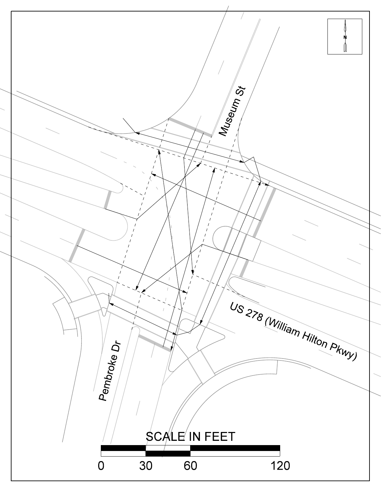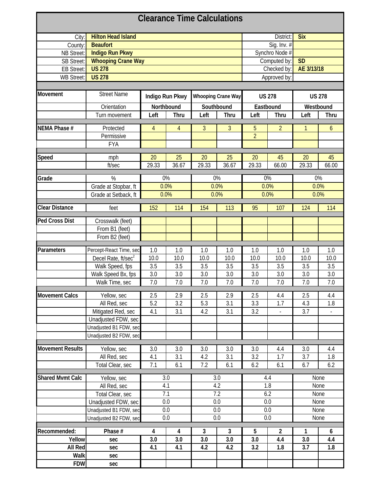| <b>Clearance Time Calculations</b> |                                 |            |                 |             |                           |                           |                |               |       |  |
|------------------------------------|---------------------------------|------------|-----------------|-------------|---------------------------|---------------------------|----------------|---------------|-------|--|
| City:                              | <b>Hilton Head Island</b>       |            |                 | District:   | <b>Six</b>                |                           |                |               |       |  |
| County:                            | <b>Beaufort</b>                 |            |                 | Sig. Inv. # |                           |                           |                |               |       |  |
| NB Street:                         | <b>Indigo Run Pkwy</b>          |            |                 |             |                           |                           | Synchro Node # |               |       |  |
| <b>SB Street:</b>                  | <b>Whooping Crane Way</b>       |            |                 |             |                           | Computed by:<br><b>SD</b> |                |               |       |  |
| <b>EB Street:</b>                  | <b>US 278</b>                   |            |                 |             |                           |                           | Checked by:    | AE 3/13/18    |       |  |
| <b>WB Street:</b>                  | <b>US 278</b>                   |            |                 |             |                           |                           | Approved by:   |               |       |  |
|                                    |                                 |            |                 |             |                           |                           |                |               |       |  |
| Movement                           | <b>Street Name</b>              |            | Indigo Run Pkwy |             | <b>Whooping Crane Way</b> | <b>US 278</b>             |                | <b>US 278</b> |       |  |
|                                    | Orientation                     | Northbound |                 |             | Southbound                |                           | Eastbound      | Westbound     |       |  |
|                                    | Turn movement                   | Left       | Thru            | Left        | Thru                      | Left                      | Thru           | Left          | Thru  |  |
|                                    |                                 |            |                 |             |                           |                           |                |               |       |  |
| NEMA Phase #                       | Protected                       | 4          | 4               | 3           | 3                         | 5                         | $\overline{2}$ | 1             | 6     |  |
|                                    | Permissive                      |            |                 |             |                           | $\overline{2}$            |                |               |       |  |
|                                    | <b>FYA</b>                      |            |                 |             |                           |                           |                |               |       |  |
| Speed                              | mph                             | 20         | 25              | 20          | 25                        | 20                        | 45             | 20            | 45    |  |
|                                    | ft/sec                          | 29.33      | 36.67           | 29.33       | 36.67                     | 29.33                     | 66.00          | 29.33         | 66.00 |  |
|                                    |                                 |            |                 |             |                           |                           |                |               |       |  |
| Grade                              | $\%$                            | 0%         |                 |             | 0%                        |                           | 0%             | 0%            |       |  |
|                                    | Grade at Stopbar, ft            | 0.0%       |                 |             | 0.0%                      |                           | 0.0%           |               | 0.0%  |  |
|                                    | Grade at Setback, ft            | 0.0%       |                 |             | 0.0%                      |                           | 0.0%           |               | 0.0%  |  |
|                                    |                                 |            |                 |             |                           |                           |                |               |       |  |
| <b>Clear Distance</b>              | feet                            | 152        | 114             | 154         | 113                       | 95                        | 107            | 124           | 114   |  |
| <b>Ped Cross Dist</b>              | Crosswalk (feet)                |            |                 |             |                           |                           |                |               |       |  |
|                                    | From B1 (feet)                  |            |                 |             |                           |                           |                |               |       |  |
|                                    | From B2 (feet)                  |            |                 |             |                           |                           |                |               |       |  |
|                                    |                                 |            |                 |             |                           |                           |                |               |       |  |
| Parameters                         | Percept-React Time, sec         | 1.0        | 1.0             | 1.0         | 1.0                       | 1.0                       | 1.0            | 1.0           | 1.0   |  |
|                                    | Decel Rate, ft/sec <sup>2</sup> | 10.0       | 10.0            | 10.0        | 10.0                      | 10.0                      | 10.0           | 10.0          | 10.0  |  |
|                                    | Walk Speed, fps                 | 3.5        | 3.5             | 3.5         | 3.5                       | 3.5                       | 3.5            | 3.5           | 3.5   |  |
|                                    | Walk Speed Bx, fps              | 3.0        | 3.0             | 3.0         | 3.0                       | 3.0                       | 3.0            | 3.0           | 3.0   |  |
|                                    | Walk Time, sec                  | 7.0        | 7.0             | 7.0         | 7.0                       | 7.0                       | 7.0            | 7.0           | 7.0   |  |
| <b>Movement Calcs</b>              | Yellow, sec                     | 2.5        | 2.9             | 2.5         | 2.9                       | 2.5                       | 4.4            | 2.5           | 4.4   |  |
|                                    | All Red, sec                    | 5.2        | 3.2             | 5.3         | 3.1                       | 3.3                       | 1.7            | 4.3           | 1.8   |  |
|                                    | Mitigated Red, sec              | 4.1        | 3.1             | 4.2         | 3.1                       | 3.2                       | $\frac{1}{2}$  | 3.7           |       |  |
|                                    | Unadjusted FDW, sec             |            |                 |             |                           |                           |                |               |       |  |
|                                    | Unadjusted B1 FDW, sec          |            |                 |             |                           |                           |                |               |       |  |
|                                    | Unadjusted B2 FDW, sec          |            |                 |             |                           |                           |                |               |       |  |
|                                    |                                 |            |                 |             |                           |                           |                |               |       |  |
| <b>Movement Results</b>            | Yellow, sec                     | 3.0        | 3.0             | 3.0         | 3.0                       | 3.0                       | 4.4            | 3.0           | 4.4   |  |
|                                    | All Red, sec                    | 4.1        | 3.1             | 4.2         | 3.1                       | 3.2                       | 1.7            | 3.7           | 1.8   |  |
|                                    | Total Clear, sec                | 7.1        | 6.1             | 7.2         | 6.1                       | 6.2                       | 6.1            | 6.7           | 6.2   |  |
|                                    |                                 |            |                 |             |                           |                           |                |               |       |  |
| <b>Shared Mvmt Calc</b>            | Yellow, sec                     |            | 3.0<br>4.1      |             | 3.0                       |                           | 4.4            |               | None  |  |
|                                    | All Red, sec                    |            |                 |             | 4.2                       |                           | 1.8            |               | None  |  |
|                                    | Total Clear, sec                |            | 7.1             |             | 7.2                       |                           | 6.2            |               | None  |  |
|                                    | Unadjusted FDW, sec             |            | 0.0             |             | 0.0                       |                           | 0.0            |               | None  |  |
|                                    | Unadjusted B1 FDW, sec          |            | 0.0             |             | 0.0                       |                           | 0.0            |               | None  |  |
|                                    | Unadjusted B2 FDW, sec          | 0.0        |                 |             | 0.0                       |                           | 0.0            |               | None  |  |
| Recommended:                       | Phase #                         | 4          | 4               | 3           | $\overline{3}$            | 5                         | $\mathbf{2}$   | 1             | 6     |  |
| Yellow                             | sec                             | 3.0        | 3.0             | 3.0         | 3.0                       | 3.0                       | 4.4            | 3.0           | 4.4   |  |
| All Red                            | sec                             | 4.1        | 4.1             | 4.2         | 4.2                       | 3.2                       | 1.8            | 3.7           | 1.8   |  |
| Walk                               | sec                             |            |                 |             |                           |                           |                |               |       |  |
| <b>FDW</b>                         | sec                             |            |                 |             |                           |                           |                |               |       |  |
|                                    |                                 |            |                 |             |                           |                           |                |               |       |  |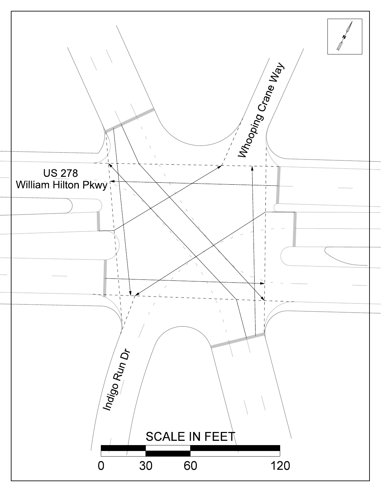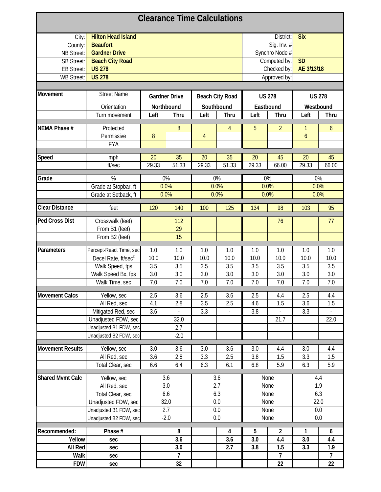| <b>Clearance Time Calculations</b> |                                 |            |                      |                |                        |                           |                |               |                |  |  |
|------------------------------------|---------------------------------|------------|----------------------|----------------|------------------------|---------------------------|----------------|---------------|----------------|--|--|
| City:                              | <b>Hilton Head Island</b>       |            |                      |                |                        |                           | District:      | <b>Six</b>    |                |  |  |
| County:                            | <b>Beaufort</b>                 |            |                      |                |                        |                           | Sig. Inv. #    |               |                |  |  |
| NB Street:                         | <b>Gardner Drive</b>            |            |                      |                |                        |                           | Synchro Node # |               |                |  |  |
| <b>SB Street:</b>                  | <b>Beach City Road</b>          |            |                      |                |                        | <b>SD</b><br>Computed by: |                |               |                |  |  |
| <b>EB Street:</b>                  | <b>US 278</b>                   |            |                      |                |                        |                           | Checked by:    | AE 3/13/18    |                |  |  |
| <b>WB Street:</b>                  | <b>US 278</b>                   |            |                      |                |                        |                           | Approved by:   |               |                |  |  |
|                                    |                                 |            |                      |                |                        |                           |                |               |                |  |  |
| Movement                           | <b>Street Name</b>              |            | <b>Gardner Drive</b> |                | <b>Beach City Road</b> |                           | <b>US 278</b>  | <b>US 278</b> |                |  |  |
|                                    | Orientation                     | Northbound |                      |                | Southbound             |                           | Eastbound      | Westbound     |                |  |  |
|                                    | Turn movement                   | Left       | Thru                 | Left           | Thru                   | Left                      | Thru           | Left          | Thru           |  |  |
|                                    |                                 |            |                      |                |                        |                           |                |               |                |  |  |
| NEMA Phase #                       | Protected                       |            | 8                    |                | 4                      | 5                         | $\overline{2}$ | 1             | 6              |  |  |
|                                    | Permissive                      | $8\,$      |                      | $\overline{4}$ |                        |                           |                | 6             |                |  |  |
|                                    | <b>FYA</b>                      |            |                      |                |                        |                           |                |               |                |  |  |
|                                    |                                 | 20         | 35                   | 20             | 35                     | 20                        | 45             | 20            | 45             |  |  |
| Speed                              | mph<br>ft/sec                   | 29.33      | 51.33                | 29.33          | 51.33                  | 29.33                     |                | 29.33         | 66.00          |  |  |
|                                    |                                 |            |                      |                |                        |                           | 66.00          |               |                |  |  |
| Grade                              | %                               |            | 0%                   |                | 0%                     |                           | 0%             |               | 0%             |  |  |
|                                    | Grade at Stopbar, ft            | 0.0%       |                      |                | 0.0%                   |                           | 0.0%           |               | 0.0%           |  |  |
|                                    | Grade at Setback, ft            | 0.0%       |                      |                | 0.0%                   |                           | 0.0%           |               | 0.0%           |  |  |
|                                    |                                 |            |                      |                |                        |                           |                |               |                |  |  |
| <b>Clear Distance</b>              | feet                            | 120        | 140                  | 100            | 125                    | 134                       | 98             | 103           | 95             |  |  |
| <b>Ped Cross Dist</b>              | Crosswalk (feet)                |            | 112                  |                |                        |                           | 76             |               | 77             |  |  |
|                                    | From B1 (feet)                  |            | 29                   |                |                        |                           |                |               |                |  |  |
|                                    | From B2 (feet)                  |            | 15                   |                |                        |                           |                |               |                |  |  |
|                                    |                                 |            |                      | 1.0            |                        | 1.0                       | 1.0            |               |                |  |  |
| Parameters                         | Percept-React Time, sec         | 1.0        | 1.0                  |                | 1.0                    |                           | 10.0           | 1.0           | 1.0<br>10.0    |  |  |
|                                    | Decel Rate, ft/sec <sup>2</sup> | 10.0       | 10.0                 | 10.0           | 10.0                   | 10.0                      |                | 10.0          |                |  |  |
|                                    | Walk Speed, fps                 | 3.5        | 3.5                  | 3.5            | 3.5                    | 3.5                       | 3.5            | 3.5           | 3.5            |  |  |
|                                    | Walk Speed Bx, fps              | 3.0        | 3.0                  | 3.0            | 3.0                    | 3.0                       | 3.0            | 3.0           | 3.0            |  |  |
|                                    | Walk Time, sec                  | 7.0        | 7.0                  | 7.0            | 7.0                    | 7.0                       | 7.0            | 7.0           | 7.0            |  |  |
| <b>Movement Calcs</b>              | Yellow, sec                     | 2.5        | 3.6                  | 2.5            | 3.6                    | 2.5                       | 4.4            | 2.5           | 4.4            |  |  |
|                                    | All Red, sec                    | 4.1        | 2.8                  | 3.5            | 2.5                    | 4.6                       | 1.5            | 3.6           | 1.5            |  |  |
|                                    | Mitigated Red, sec              | 3.6        |                      | 3.3            | ÷.                     | 3.8                       |                | 3.3           |                |  |  |
|                                    | Unadjusted FDW, sec             |            | 32.0                 |                |                        |                           | 21.7           |               | 22.0           |  |  |
|                                    | Unadjusted B1 FDW, sec          |            | 2.7                  |                |                        |                           |                |               |                |  |  |
|                                    | Unadjusted B2 FDW, sec          |            | $-2.0$               |                |                        |                           |                |               |                |  |  |
|                                    |                                 |            |                      |                |                        |                           |                |               |                |  |  |
| <b>Movement Results</b>            | Yellow, sec                     | 3.0        | 3.6                  | 3.0            | 3.6                    | 3.0                       | 4.4            | 3.0           | 4.4            |  |  |
|                                    | All Red, sec                    | 3.6        | 2.8                  | 3.3            | 2.5                    | 3.8                       | 1.5            | 3.3           | 1.5            |  |  |
|                                    | Total Clear, sec                | 6.6        | 6.4                  | 6.3            | 6.1                    | 6.8                       | 5.9            | 6.3           | 5.9            |  |  |
| <b>Shared Mvmt Calc</b>            | Yellow, sec                     |            | 3.6                  |                | 3.6                    |                           | None           |               | 4.4            |  |  |
|                                    | All Red, sec                    |            | 3.0                  |                | 2.7                    |                           | None           |               | 1.9            |  |  |
|                                    |                                 |            | 6.6                  |                | 6.3                    |                           | None           |               | 6.3            |  |  |
|                                    | Total Clear, sec                |            |                      |                |                        |                           |                |               |                |  |  |
|                                    | Unadjusted FDW, sec             |            | 32.0                 |                | 0.0                    |                           | None           |               | 22.0           |  |  |
|                                    | Unadjusted B1 FDW, sec          |            | 2.7                  |                | 0.0                    |                           | None           |               | 0.0            |  |  |
|                                    | Unadjusted B2 FDW, sec          |            | $-2.0$               |                | 0.0                    |                           | None           |               | 0.0            |  |  |
| Recommended:                       | Phase #                         |            | 8                    |                | 4                      | 5                         | $\overline{2}$ | 1             | 6              |  |  |
| Yellow                             | sec                             |            | 3.6                  |                | 3.6                    | 3.0                       | 4.4            | 3.0           | 4.4            |  |  |
| All Red                            | sec                             |            | 3.0                  |                | 2.7                    | 3.8                       | 1.5            | 3.3           | 1.9            |  |  |
| Walk                               | sec                             |            | $\overline{7}$       |                |                        |                           | $\overline{7}$ |               | $\overline{7}$ |  |  |
| <b>FDW</b>                         | sec                             |            | 32                   |                |                        |                           | 22             |               | 22             |  |  |